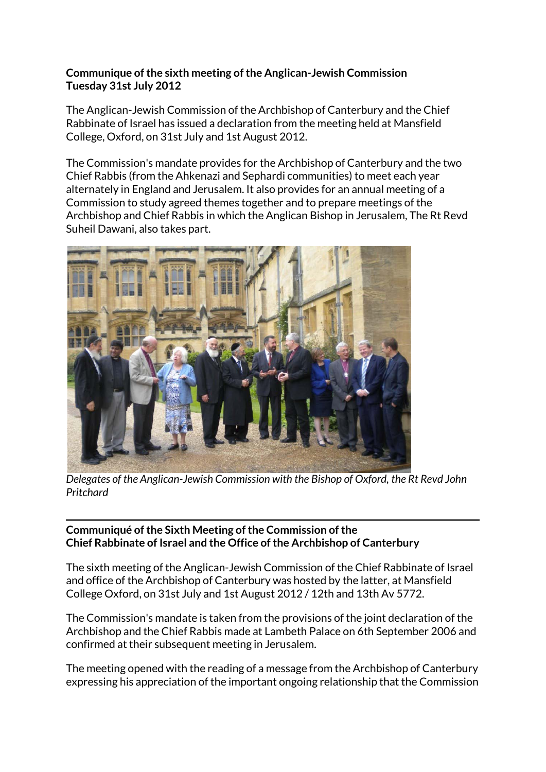## **Communique of the sixth meeting of the Anglican-Jewish Commission Tuesday 31st July 2012**

The Anglican-Jewish Commission of the Archbishop of Canterbury and the Chief Rabbinate of Israel has issued a declaration from the meeting held at Mansfield College, Oxford, on 31st July and 1st August 2012.

The Commission's mandate provides for the Archbishop of Canterbury and the two Chief Rabbis (from the Ahkenazi and Sephardi communities) to meet each year alternately in England and Jerusalem. It also provides for an annual meeting of a Commission to study agreed themes together and to prepare meetings of the Archbishop and Chief Rabbis in which the Anglican Bishop in Jerusalem, The Rt Revd Suheil Dawani, also takes part.



*Delegates of the Anglican-Jewish Commission with the Bishop of Oxford, the Rt Revd John Pritchard*

## **Communiqué of the Sixth Meeting of the Commission of the Chief Rabbinate of Israel and the Office of the Archbishop of Canterbury**

The sixth meeting of the Anglican-Jewish Commission of the Chief Rabbinate of Israel and office of the Archbishop of Canterbury was hosted by the latter, at Mansfield College Oxford, on 31st July and 1st August 2012 / 12th and 13th Av 5772.

The Commission's mandate is taken from the provisions of the joint declaration of the Archbishop and the Chief Rabbis made at Lambeth Palace on 6th September 2006 and confirmed at their subsequent meeting in Jerusalem.

The meeting opened with the reading of a message from the Archbishop of Canterbury expressing his appreciation of the important ongoing relationship that the Commission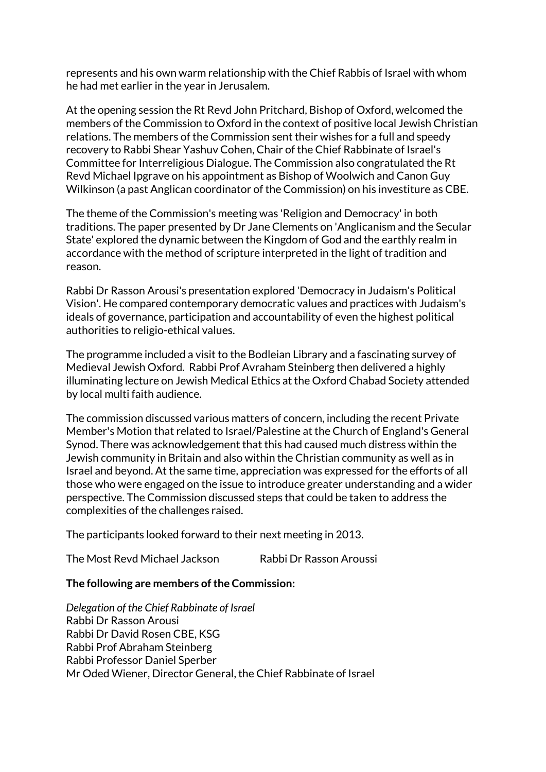represents and his own warm relationship with the Chief Rabbis of Israel with whom he had met earlier in the year in Jerusalem.

At the opening session the Rt Revd John Pritchard, Bishop of Oxford, welcomed the members of the Commission to Oxford in the context of positive local Jewish Christian relations. The members of the Commission sent their wishes for a full and speedy recovery to Rabbi Shear Yashuv Cohen, Chair of the Chief Rabbinate of Israel's Committee for Interreligious Dialogue. The Commission also congratulated the Rt Revd Michael Ipgrave on his appointment as Bishop of Woolwich and Canon Guy Wilkinson (a past Anglican coordinator of the Commission) on his investiture as CBE.

The theme of the Commission's meeting was 'Religion and Democracy' in both traditions. The paper presented by Dr Jane Clements on 'Anglicanism and the Secular State' explored the dynamic between the Kingdom of God and the earthly realm in accordance with the method of scripture interpreted in the light of tradition and reason.

Rabbi Dr Rasson Arousi's presentation explored 'Democracy in Judaism's Political Vision'. He compared contemporary democratic values and practices with Judaism's ideals of governance, participation and accountability of even the highest political authorities to religio-ethical values.

The programme included a visit to the Bodleian Library and a fascinating survey of Medieval Jewish Oxford. Rabbi Prof Avraham Steinberg then delivered a highly illuminating lecture on Jewish Medical Ethics at the Oxford Chabad Society attended by local multi faith audience.

The commission discussed various matters of concern, including the recent Private Member's Motion that related to Israel/Palestine at the Church of England's General Synod. There was acknowledgement that this had caused much distress within the Jewish community in Britain and also within the Christian community as well as in Israel and beyond. At the same time, appreciation was expressed for the efforts of all those who were engaged on the issue to introduce greater understanding and a wider perspective. The Commission discussed steps that could be taken to address the complexities of the challenges raised.

The participants looked forward to their next meeting in 2013.

| The Most Revd Michael Jackson | Rabbi Dr Rasson Aroussi |
|-------------------------------|-------------------------|
|-------------------------------|-------------------------|

## **The following are members of the Commission:**

*Delegation of the Chief Rabbinate of Israel* Rabbi Dr Rasson Arousi Rabbi Dr David Rosen CBE, KSG Rabbi Prof Abraham Steinberg Rabbi Professor Daniel Sperber Mr Oded Wiener, Director General, the Chief Rabbinate of Israel